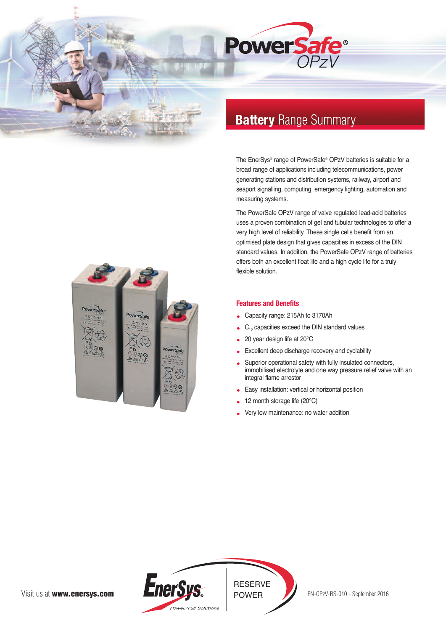



# **Battery** Range Summary

The EnerSys® range of PowerSafe® OPzV batteries is suitable for a broad range of applications including telecommunications, power generating stations and distribution systems, railway, airport and seaport signalling, computing, emergency lighting, automation and measuring systems.

The PowerSafe OPzV range of valve regulated lead-acid batteries uses a proven combination of gel and tubular technologies to offer a very high level of reliability. These single cells benefit from an optimised plate design that gives capacities in excess of the DIN standard values. In addition, the PowerSafe OPzV range of batteries offers both an excellent float life and a high cycle life for a truly flexible solution.

## **Features and Benefits**

- Capacity range: 215Ah to 3170Ah
- $C_{10}$  capacities exceed the DIN standard values
- 20 year design life at 20°C  $\bullet$
- Excellent deep discharge recovery and cyclability
- Superior operational safety with fully insulated connectors, immobilised electrolyte and one way pressure relief valve with an integral flame arrestor
- Easy installation: vertical or horizontal position
- 12 month storage life (20°C)
- Very low maintenance: no water addition